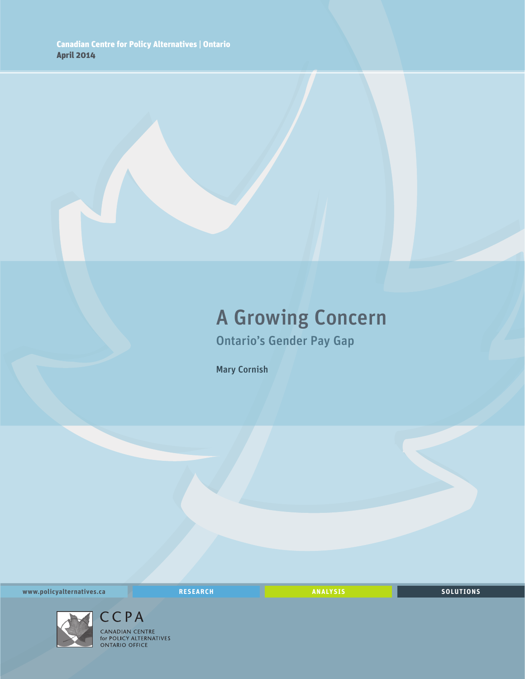### A Growing Concern Ontario's Gender Pay Gap

Mary Cornish

**www.policyalternatives.ca** <mark>RESEARCH</mark> ANALYSIS SOLUTIONS



CCPA CANADIAN CENTRE<br>for POLICY ALTERNATIVES<br>ONTARIO OFFICE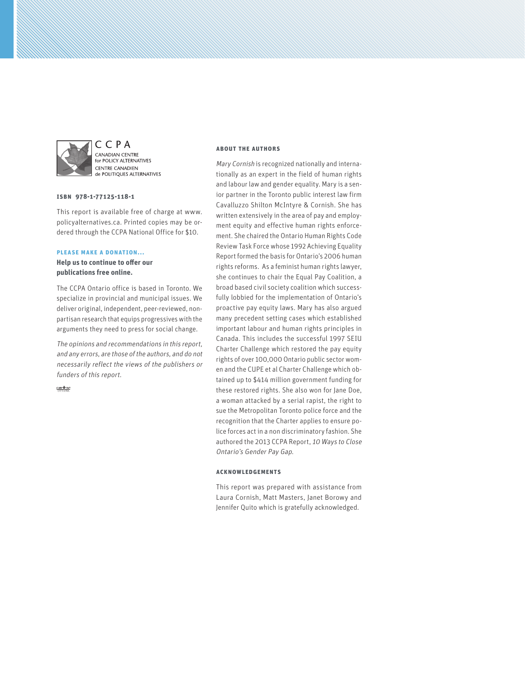

CCPA CANADIAN CENTRE for POLICY ALTERNATIVES **CENTRE CANADIEN** de POLITIQUES ALTERNATIVES

#### **ISBN 978-1-77125-118-1**

This report is available free of charge at www. policyalternatives.ca. Printed copies may be ordered through the CCPA National Office for \$10.

#### **Please make a donation...**

**Help us to continue to offer our publications free online.**

The CCPA Ontario office is based in Toronto. We specialize in provincial and municipal issues. We deliver original, independent, peer-reviewed, nonpartisan research that equips progressives with the arguments they need to press for social change.

The opinions and recommendations in this report, and any errors, are those of the authors, and do not necessarily reflect the views of the publishers or funders of this report.

 $CAN$   $\frac{4}{367}$ 

#### **About the authors**

Mary Cornish is recognized nationally and internationally as an expert in the field of human rights and labour law and gender equality. Mary is a senior partner in the Toronto public interest law firm Cavalluzzo Shilton McIntyre & Cornish. She has written extensively in the area of pay and employment equity and effective human rights enforcement. She chaired the Ontario Human Rights Code Review Task Force whose 1992 Achieving Equality Report formed the basis for Ontario's 2006 human rights reforms. As a feminist human rights lawyer, she continues to chair the Equal Pay Coalition, a broad based civil society coalition which successfully lobbied for the implementation of Ontario's proactive pay equity laws. Mary has also argued many precedent setting cases which established important labour and human rights principles in Canada. This includes the successful 1997 SEIU Charter Challenge which restored the pay equity rights of over 100,000 Ontario public sector women and the CUPE et al Charter Challenge which obtained up to \$414 million government funding for these restored rights. She also won for Jane Doe, a woman attacked by a serial rapist, the right to sue the Metropolitan Toronto police force and the recognition that the Charter applies to ensure police forces act in a non discriminatory fashion. She authored the 2013 CCPA Report, 10 Ways to Close Ontario's Gender Pay Gap.

#### **Acknowledgements**

This report was prepared with assistance from Laura Cornish, Matt Masters, Janet Borowy and Jennifer Quito which is gratefully acknowledged.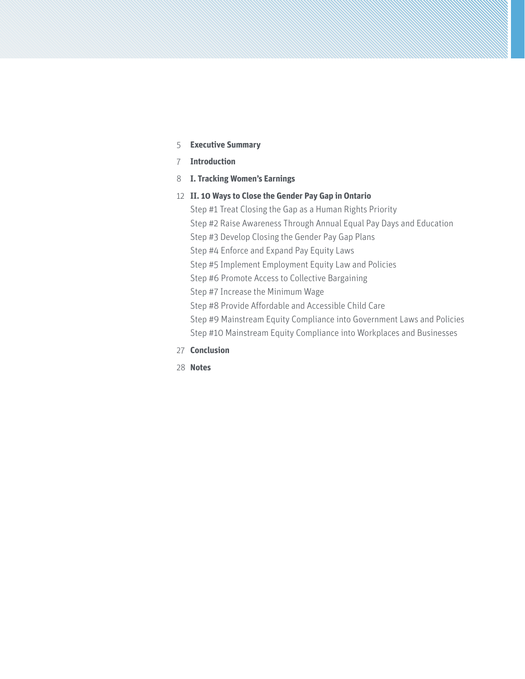- 5 **Executive Summary**
- 7 **Introduction**
- 8 **I. Tracking Women's Earnings**
- 12 **II. 10 Ways to Close the Gender Pay Gap in Ontario**

Step #1 Treat Closing the Gap as a Human Rights Priority Step #2 Raise Awareness Through Annual Equal Pay Days and Education

Step #3 Develop Closing the Gender Pay Gap Plans

Step #4 Enforce and Expand Pay Equity Laws

Step #5 Implement Employment Equity Law and Policies

Step #6 Promote Access to Collective Bargaining

Step #7 Increase the Minimum Wage

Step #8 Provide Affordable and Accessible Child Care

Step #9 Mainstream Equity Compliance into Government Laws and Policies

Step #10 Mainstream Equity Compliance into Workplaces and Businesses

- 27 **Conclusion**
- 28 **Notes**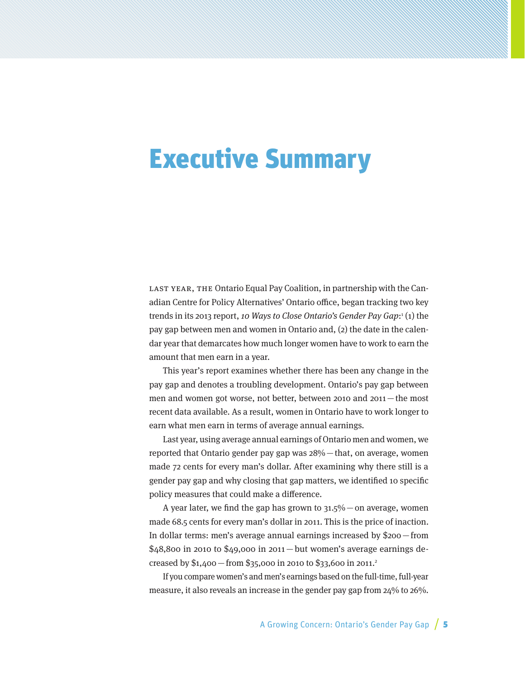# Executive Summary

LAST YEAR, THE Ontario Equal Pay Coalition, in partnership with the Canadian Centre for Policy Alternatives' Ontario office, began tracking two key trends in its 2013 report, *10 Ways to Close Ontario's Gender Pay Gap*:<sup>1</sup>(1) the pay gap between men and women in Ontario and, (2) the date in the calendar year that demarcates how much longer women have to work to earn the amount that men earn in a year.

This year's report examines whether there has been any change in the pay gap and denotes a troubling development. Ontario's pay gap between men and women got worse, not better, between 2010 and 2011—the most recent data available. As a result, women in Ontario have to work longer to earn what men earn in terms of average annual earnings.

Last year, using average annual earnings of Ontario men and women, we reported that Ontario gender pay gap was 28%—that, on average, women made 72 cents for every man's dollar. After examining why there still is a gender pay gap and why closing that gap matters, we identified 10 specific policy measures that could make a difference.

A year later, we find the gap has grown to  $31.5\%$  - on average, women made 68.5 cents for every man's dollar in 2011. This is the price of inaction. In dollar terms: men's average annual earnings increased by \$200—from  $$48,800$  in 2010 to  $$49,000$  in 2011 — but women's average earnings decreased by  $$1,400$  – from  $$35,000$  in 2010 to  $$33,600$  in 2011.<sup>2</sup>

If you compare women's and men's earnings based on the full-time, full-year measure, it also reveals an increase in the gender pay gap from 24% to 26%.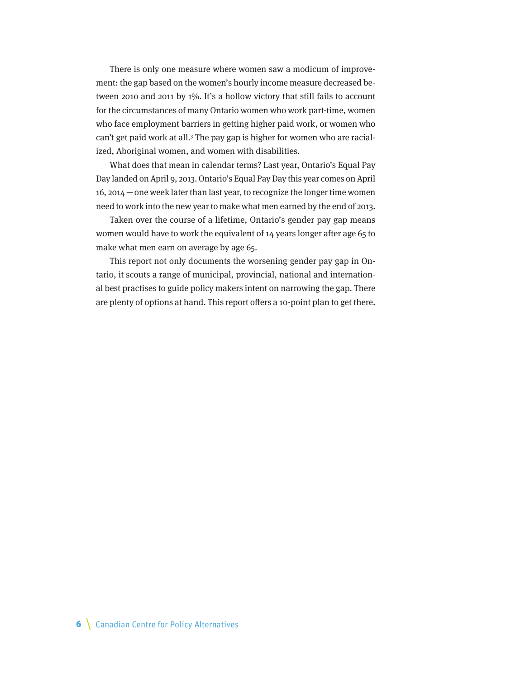There is only one measure where women saw a modicum of improvement: the gap based on the women's hourly income measure decreased between 2010 and 2011 by 1%. It's a hollow victory that still fails to account for the circumstances of many Ontario women who work part-time, women who face employment barriers in getting higher paid work, or women who can't get paid work at all.<sup>3</sup> The pay gap is higher for women who are racialized, Aboriginal women, and women with disabilities.

What does that mean in calendar terms? Last year, Ontario's Equal Pay Day landed on April 9, 2013. Ontario's Equal Pay Day this year comes on April 16, 2014—one week later than last year, to recognize the longer time women need to work into the new year to make what men earned by the end of 2013.

Taken over the course of a lifetime, Ontario's gender pay gap means women would have to work the equivalent of 14 years longer after age 65 to make what men earn on average by age 65.

This report not only documents the worsening gender pay gap in Ontario, it scouts a range of municipal, provincial, national and international best practises to guide policy makers intent on narrowing the gap. There are plenty of options at hand. This report offers a 10-point plan to get there.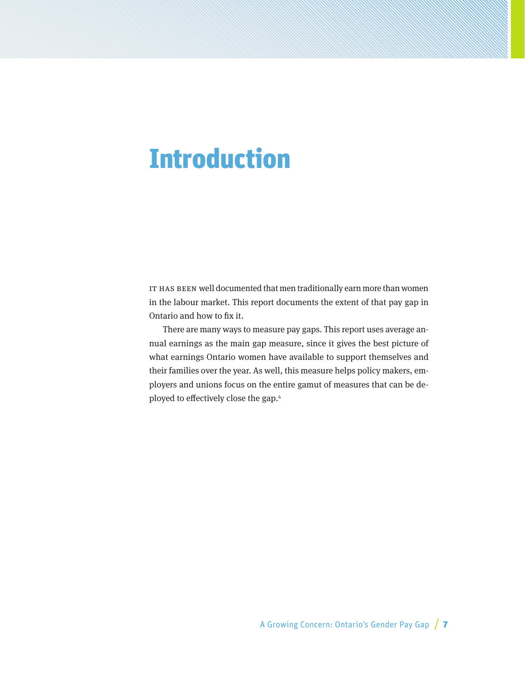## Introduction

IT HAS BEEN well documented that men traditionally earn more than women in the labour market. This report documents the extent of that pay gap in Ontario and how to fix it.

There are many ways to measure pay gaps. This report uses average annual earnings as the main gap measure, since it gives the best picture of what earnings Ontario women have available to support themselves and their families over the year. As well, this measure helps policy makers, employers and unions focus on the entire gamut of measures that can be deployed to effectively close the gap.4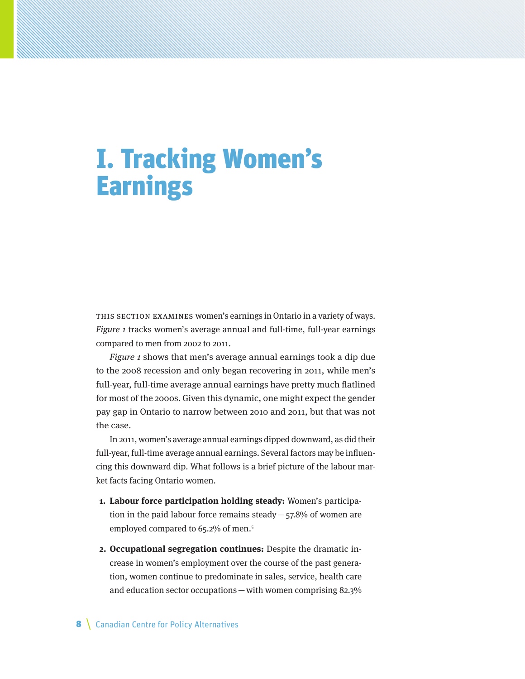# I. Tracking Women's **Earnings**

THIS SECTION EXAMINES women's earnings in Ontario in a variety of ways. Figure 1 tracks women's average annual and full-time, full-year earnings compared to men from 2002 to 2011.

Figure 1 shows that men's average annual earnings took a dip due to the 2008 recession and only began recovering in 2011, while men's full-year, full-time average annual earnings have pretty much flatlined for most of the 2000s. Given this dynamic, one might expect the gender pay gap in Ontario to narrow between 2010 and 2011, but that was not the case.

In 2011, women's average annual earnings dipped downward, as did their full-year, full-time average annual earnings. Several factors may be influencing this downward dip. What follows is a brief picture of the labour market facts facing Ontario women.

- **1. Labour force participation holding steady:** Women's participation in the paid labour force remains steady  $-57.8%$  of women are employed compared to 65.2% of men.<sup>5</sup>
- **2. Occupational segregation continues:** Despite the dramatic increase in women's employment over the course of the past generation, women continue to predominate in sales, service, health care and education sector occupations—with women comprising 82.3%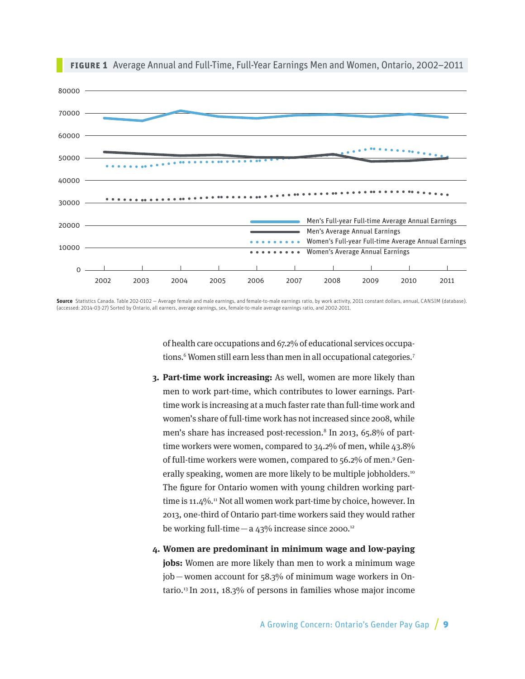

**Figure 1** Average Annual and Full-Time, Full-Year Earnings Men and Women, Ontario, 2002–2011

**Source** Statistics Canada. Table 202-0102 — Average female and male earnings, and female-to-male earnings ratio, by work activity, 2011 constant dollars, annual, CANSIM (database). (accessed: 2014-03-27) Sorted by Ontario, all earners, average earnings, sex, female-to-male average earnings ratio, and 2002-2011.

> of health care occupations and 67.2% of educational services occupations.<sup>6</sup> Women still earn less than men in all occupational categories.<sup>7</sup>

- **3. Part-time work increasing:** As well, women are more likely than men to work part-time, which contributes to lower earnings. Parttime work is increasing at a much faster rate than full-time work and women's share of full-time work has not increased since 2008, while men's share has increased post-recession.<sup>8</sup> In 2013, 65.8% of parttime workers were women, compared to 34.2% of men, while 43.8% of full-time workers were women, compared to 56.2% of men.<sup>9</sup> Generally speaking, women are more likely to be multiple jobholders.<sup>10</sup> The figure for Ontario women with young children working parttime is 11.4%.<sup>11</sup> Not all women work part-time by choice, however. In 2013, one-third of Ontario part-time workers said they would rather be working full-time  $-$  a 43% increase since 2000.<sup>12</sup>
- **4. Women are predominant in minimum wage and low-paying jobs:** Women are more likely than men to work a minimum wage job—women account for 58.3% of minimum wage workers in Ontario.13 In 2011, 18.3% of persons in families whose major income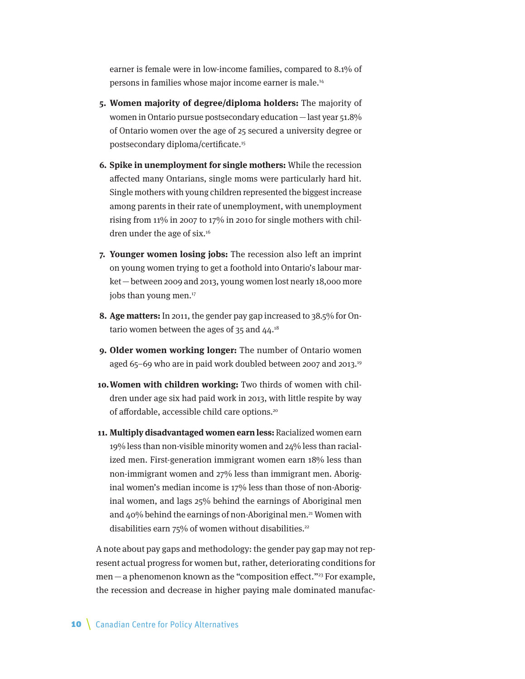earner is female were in low-income families, compared to 8.1% of persons in families whose major income earner is male.14

- **5. Women majority of degree/diploma holders:** The majority of women in Ontario pursue postsecondary education —last year 51.8% of Ontario women over the age of 25 secured a university degree or postsecondary diploma/certificate.15
- **6. Spike in unemployment for single mothers:** While the recession affected many Ontarians, single moms were particularly hard hit. Single mothers with young children represented the biggest increase among parents in their rate of unemployment, with unemployment rising from 11% in 2007 to 17% in 2010 for single mothers with children under the age of six.<sup>16</sup>
- **7. Younger women losing jobs:** The recession also left an imprint on young women trying to get a foothold into Ontario's labour market—between 2009 and 2013, young women lost nearly 18,000 more jobs than young men.<sup>17</sup>
- **8. Age matters:** In 2011, the gender pay gap increased to 38.5% for Ontario women between the ages of  $35$  and  $44.^{18}$
- **9. Older women working longer:** The number of Ontario women aged 65–69 who are in paid work doubled between 2007 and 2013.<sup>19</sup>
- **10.Women with children working:** Two thirds of women with children under age six had paid work in 2013, with little respite by way of affordable, accessible child care options.20
- **11. Multiply disadvantaged women earn less:** Racialized women earn 19% less than non-visible minority women and 24% less than racialized men. First-generation immigrant women earn 18% less than non-immigrant women and 27% less than immigrant men. Aboriginal women's median income is 17% less than those of non-Aboriginal women, and lags 25% behind the earnings of Aboriginal men and  $40\%$  behind the earnings of non-Aboriginal men.<sup>21</sup> Women with disabilities earn  $75%$  of women without disabilities.<sup>22</sup>

A note about pay gaps and methodology: the gender pay gap may not represent actual progress for women but, rather, deteriorating conditions for men — a phenomenon known as the "composition effect."<sup>23</sup> For example, the recession and decrease in higher paying male dominated manufac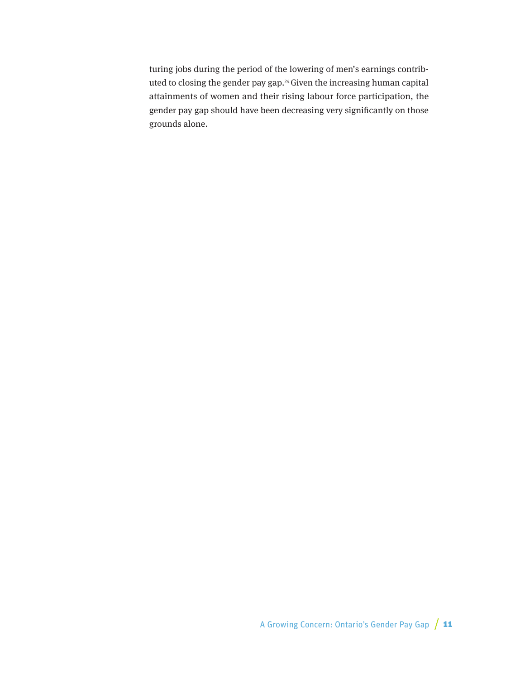turing jobs during the period of the lowering of men's earnings contributed to closing the gender pay gap.24 Given the increasing human capital attainments of women and their rising labour force participation, the gender pay gap should have been decreasing very significantly on those grounds alone.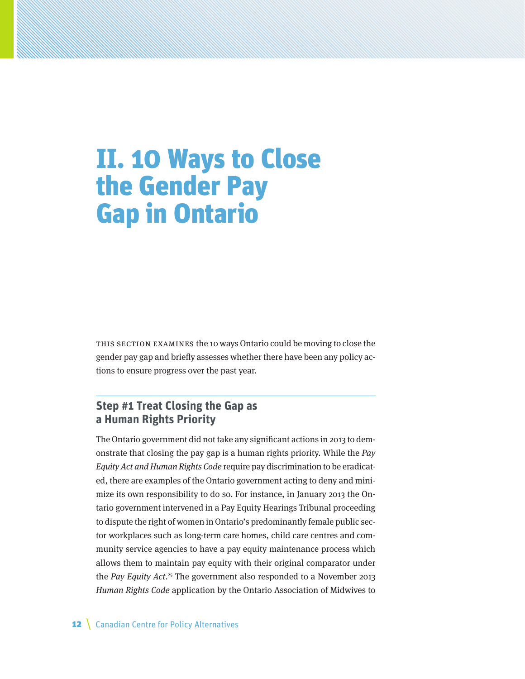## II. 10 Ways to Close the Gender Pay Gap in Ontario

This section examines the 10 ways Ontario could be moving to close the gender pay gap and briefly assesses whether there have been any policy actions to ensure progress over the past year.

### **Step #1 Treat Closing the Gap as a Human Rights Priority**

The Ontario government did not take any significant actions in 2013 to demonstrate that closing the pay gap is a human rights priority. While the Pay Equity Act and Human Rights Code require pay discrimination to be eradicated, there are examples of the Ontario government acting to deny and minimize its own responsibility to do so. For instance, in January 2013 the Ontario government intervened in a Pay Equity Hearings Tribunal proceeding to dispute the right of women in Ontario's predominantly female public sector workplaces such as long-term care homes, child care centres and community service agencies to have a pay equity maintenance process which allows them to maintain pay equity with their original comparator under the Pay Equity Act.<sup>25</sup> The government also responded to a November 2013 Human Rights Code application by the Ontario Association of Midwives to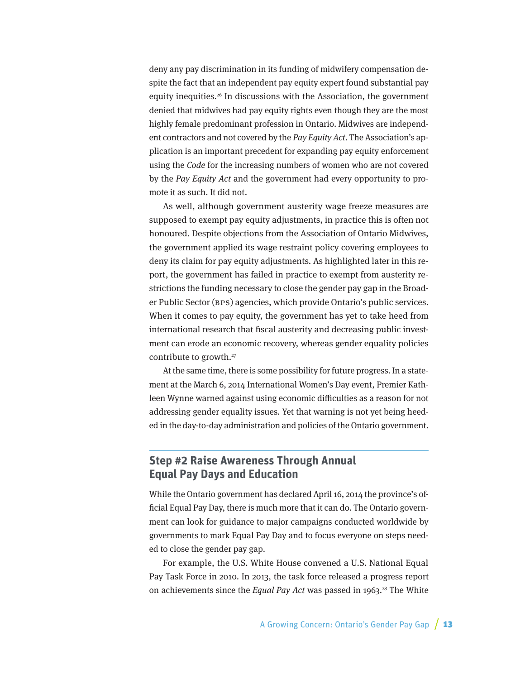deny any pay discrimination in its funding of midwifery compensation despite the fact that an independent pay equity expert found substantial pay equity inequities.26 In discussions with the Association, the government denied that midwives had pay equity rights even though they are the most highly female predominant profession in Ontario. Midwives are independent contractors and not covered by the Pay Equity Act. The Association's application is an important precedent for expanding pay equity enforcement using the Code for the increasing numbers of women who are not covered by the Pay Equity Act and the government had every opportunity to promote it as such. It did not.

As well, although government austerity wage freeze measures are supposed to exempt pay equity adjustments, in practice this is often not honoured. Despite objections from the Association of Ontario Midwives, the government applied its wage restraint policy covering employees to deny its claim for pay equity adjustments. As highlighted later in this report, the government has failed in practice to exempt from austerity restrictions the funding necessary to close the gender pay gap in the Broader Public Sector (BPS) agencies, which provide Ontario's public services. When it comes to pay equity, the government has yet to take heed from international research that fiscal austerity and decreasing public investment can erode an economic recovery, whereas gender equality policies contribute to growth.27

At the same time, there is some possibility for future progress. In a statement at the March 6, 2014 International Women's Day event, Premier Kathleen Wynne warned against using economic difficulties as a reason for not addressing gender equality issues. Yet that warning is not yet being heeded in the day-to-day administration and policies of the Ontario government.

### **Step #2 Raise Awareness Through Annual Equal Pay Days and Education**

While the Ontario government has declared April 16, 2014 the province's official Equal Pay Day, there is much more that it can do. The Ontario government can look for guidance to major campaigns conducted worldwide by governments to mark Equal Pay Day and to focus everyone on steps needed to close the gender pay gap.

For example, the U.S. White House convened a U.S. National Equal Pay Task Force in 2010. In 2013, the task force released a progress report on achievements since the Equal Pay Act was passed in 1963.<sup>28</sup> The White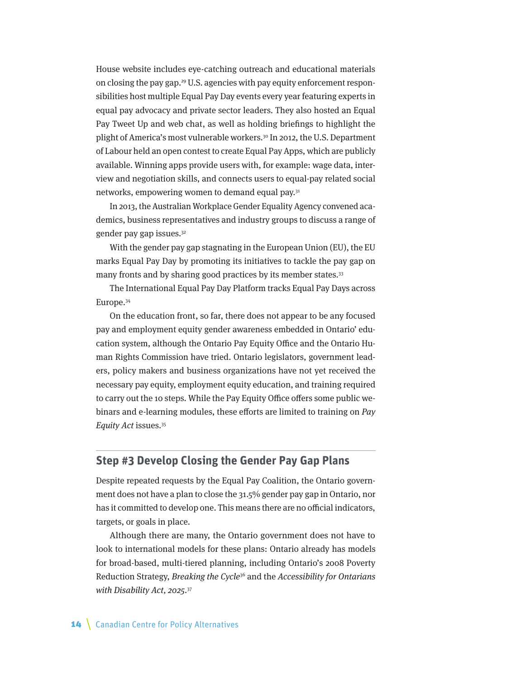House website includes eye-catching outreach and educational materials on closing the pay gap.29 U.S. agencies with pay equity enforcement responsibilities host multiple Equal Pay Day events every year featuring experts in equal pay advocacy and private sector leaders. They also hosted an Equal Pay Tweet Up and web chat, as well as holding briefings to highlight the plight of America's most vulnerable workers.<sup>30</sup> In 2012, the U.S. Department of Labour held an open contest to create Equal Pay Apps, which are publicly available. Winning apps provide users with, for example: wage data, interview and negotiation skills, and connects users to equal-pay related social networks, empowering women to demand equal pay.31

In 2013, the Australian Workplace Gender Equality Agency convened academics, business representatives and industry groups to discuss a range of gender pay gap issues.<sup>32</sup>

With the gender pay gap stagnating in the European Union (EU), the EU marks Equal Pay Day by promoting its initiatives to tackle the pay gap on many fronts and by sharing good practices by its member states.<sup>33</sup>

The International Equal Pay Day Platform tracks Equal Pay Days across Europe.34

On the education front, so far, there does not appear to be any focused pay and employment equity gender awareness embedded in Ontario' education system, although the Ontario Pay Equity Office and the Ontario Human Rights Commission have tried. Ontario legislators, government leaders, policy makers and business organizations have not yet received the necessary pay equity, employment equity education, and training required to carry out the 10 steps. While the Pay Equity Office offers some public webinars and e-learning modules, these efforts are limited to training on  $Pav$ Equity Act issues.35

#### **Step #3 Develop Closing the Gender Pay Gap Plans**

Despite repeated requests by the Equal Pay Coalition, the Ontario government does not have a plan to close the 31.5% gender pay gap in Ontario, nor has it committed to develop one. This means there are no official indicators, targets, or goals in place.

Although there are many, the Ontario government does not have to look to international models for these plans: Ontario already has models for broad-based, multi-tiered planning, including Ontario's 2008 Poverty Reduction Strategy, Breaking the Cycle<sup>36</sup> and the Accessibility for Ontarians with Disability Act, 2025.<sup>37</sup>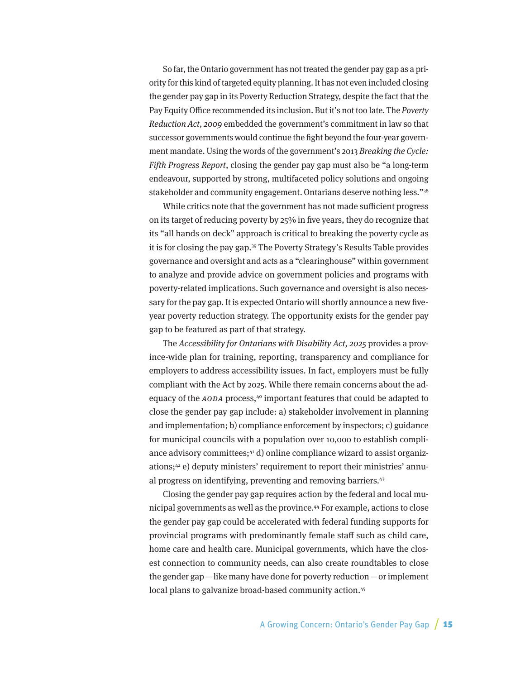So far, the Ontario government has not treated the gender pay gap as a priority for this kind of targeted equity planning. It has not even included closing the gender pay gap in its Poverty Reduction Strategy, despite the fact that the Pay Equity Office recommended its inclusion. But it's not too late. The Poverty Reduction Act, 2009 embedded the government's commitment in law so that successor governments would continue the fight beyond the four-year government mandate. Using the words of the government's 2013 Breaking the Cycle: Fifth Progress Report, closing the gender pay gap must also be "a long-term endeavour, supported by strong, multifaceted policy solutions and ongoing stakeholder and community engagement. Ontarians deserve nothing less."38

While critics note that the government has not made sufficient progress on its target of reducing poverty by 25% in five years, they do recognize that its "all hands on deck" approach is critical to breaking the poverty cycle as it is for closing the pay gap.39 The Poverty Strategy's Results Table provides governance and oversight and acts as a "clearinghouse" within government to analyze and provide advice on government policies and programs with poverty-related implications. Such governance and oversight is also necessary for the pay gap. It is expected Ontario will shortly announce a new fiveyear poverty reduction strategy. The opportunity exists for the gender pay gap to be featured as part of that strategy.

The Accessibility for Ontarians with Disability Act, 2025 provides a province-wide plan for training, reporting, transparency and compliance for employers to address accessibility issues. In fact, employers must be fully compliant with the Act by 2025. While there remain concerns about the adequacy of the AODA process,<sup>40</sup> important features that could be adapted to close the gender pay gap include: a) stakeholder involvement in planning and implementation; b) compliance enforcement by inspectors; c) guidance for municipal councils with a population over 10,000 to establish compliance advisory committees;<sup>41</sup> d) online compliance wizard to assist organizations;42 e) deputy ministers' requirement to report their ministries' annual progress on identifying, preventing and removing barriers.<sup>43</sup>

Closing the gender pay gap requires action by the federal and local municipal governments as well as the province.44 For example, actions to close the gender pay gap could be accelerated with federal funding supports for provincial programs with predominantly female staff such as child care, home care and health care. Municipal governments, which have the closest connection to community needs, can also create roundtables to close the gender gap—like many have done for poverty reduction—or implement local plans to galvanize broad-based community action.<sup>45</sup>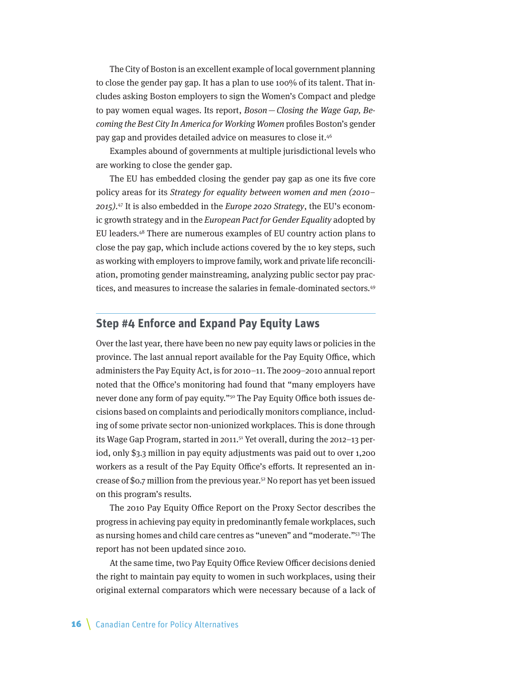The City of Boston is an excellent example of local government planning to close the gender pay gap. It has a plan to use 100% of its talent. That includes asking Boston employers to sign the Women's Compact and pledge to pay women equal wages. Its report, Boson—Closing the Wage Gap, Becoming the Best City In America for Working Women profiles Boston's gender pay gap and provides detailed advice on measures to close it.46

Examples abound of governments at multiple jurisdictional levels who are working to close the gender gap.

The EU has embedded closing the gender pay gap as one its five core policy areas for its Strategy for equality between women and men (2010– 2015).<sup>47</sup> It is also embedded in the *Europe* 2020 Strategy, the EU's economic growth strategy and in the European Pact for Gender Equality adopted by EU leaders.48 There are numerous examples of EU country action plans to close the pay gap, which include actions covered by the 10 key steps, such as working with employers to improve family, work and private life reconciliation, promoting gender mainstreaming, analyzing public sector pay practices, and measures to increase the salaries in female-dominated sectors.<sup>49</sup>

#### **Step #4 Enforce and Expand Pay Equity Laws**

Over the last year, there have been no new pay equity laws or policies in the province. The last annual report available for the Pay Equity Office, which administers the Pay Equity Act, is for 2010–11. The 2009–2010 annual report noted that the Office's monitoring had found that "many employers have never done any form of pay equity."50 The Pay Equity Office both issues decisions based on complaints and periodically monitors compliance, including of some private sector non-unionized workplaces. This is done through its Wage Gap Program, started in 2011.51 Yet overall, during the 2012–13 period, only \$3.3 million in pay equity adjustments was paid out to over 1,200 workers as a result of the Pay Equity Office's efforts. It represented an increase of \$0.7 million from the previous year.52 No report has yet been issued on this program's results.

The 2010 Pay Equity Office Report on the Proxy Sector describes the progress in achieving pay equity in predominantly female workplaces, such as nursing homes and child care centres as "uneven" and "moderate."53 The report has not been updated since 2010.

At the same time, two Pay Equity Office Review Officer decisions denied the right to maintain pay equity to women in such workplaces, using their original external comparators which were necessary because of a lack of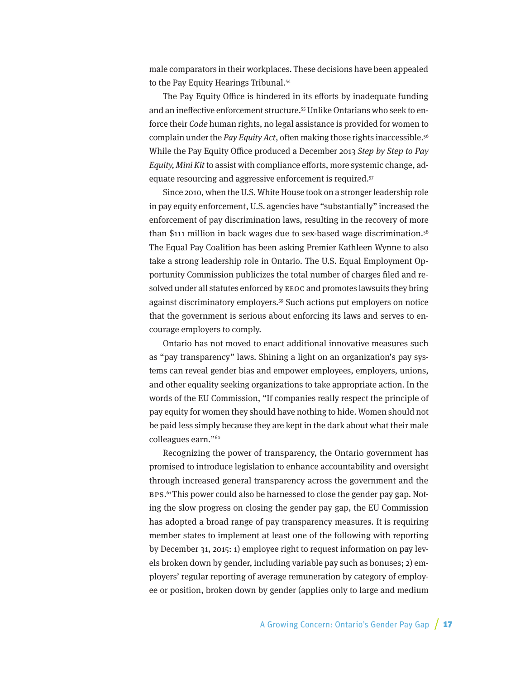male comparators in their workplaces. These decisions have been appealed to the Pay Equity Hearings Tribunal.<sup>54</sup>

The Pay Equity Office is hindered in its efforts by inadequate funding and an ineffective enforcement structure.55 Unlike Ontarians who seek to enforce their Code human rights, no legal assistance is provided for women to complain under the Pay Equity Act, often making those rights inaccessible.<sup>56</sup> While the Pay Equity Office produced a December 2013 Step by Step to Pay Equity, Mini Kit to assist with compliance efforts, more systemic change, adequate resourcing and aggressive enforcement is required.<sup>57</sup>

Since 2010, when the U.S. White House took on a stronger leadership role in pay equity enforcement, U.S. agencies have "substantially" increased the enforcement of pay discrimination laws, resulting in the recovery of more than \$111 million in back wages due to sex-based wage discrimination.<sup>58</sup> The Equal Pay Coalition has been asking Premier Kathleen Wynne to also take a strong leadership role in Ontario. The U.S. Equal Employment Opportunity Commission publicizes the total number of charges filed and resolved under all statutes enforced by EEOC and promotes lawsuits they bring against discriminatory employers.59 Such actions put employers on notice that the government is serious about enforcing its laws and serves to encourage employers to comply.

Ontario has not moved to enact additional innovative measures such as "pay transparency" laws. Shining a light on an organization's pay systems can reveal gender bias and empower employees, employers, unions, and other equality seeking organizations to take appropriate action. In the words of the EU Commission, "If companies really respect the principle of pay equity for women they should have nothing to hide. Women should not be paid less simply because they are kept in the dark about what their male colleagues earn."60

Recognizing the power of transparency, the Ontario government has promised to introduce legislation to enhance accountability and oversight through increased general transparency across the government and the BPS. 61 This power could also be harnessed to close the gender pay gap. Noting the slow progress on closing the gender pay gap, the EU Commission has adopted a broad range of pay transparency measures. It is requiring member states to implement at least one of the following with reporting by December 31, 2015: 1) employee right to request information on pay levels broken down by gender, including variable pay such as bonuses; 2) employers' regular reporting of average remuneration by category of employee or position, broken down by gender (applies only to large and medium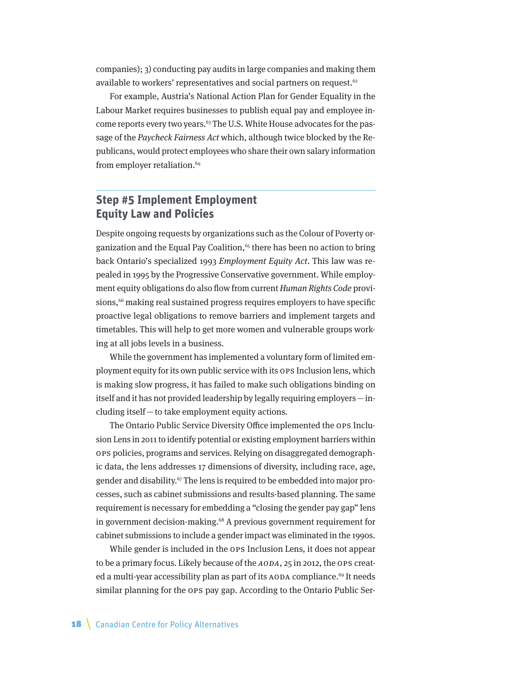companies); 3) conducting pay audits in large companies and making them available to workers' representatives and social partners on request.<sup>62</sup>

For example, Austria's National Action Plan for Gender Equality in the Labour Market requires businesses to publish equal pay and employee income reports every two years.<sup>63</sup> The U.S. White House advocates for the passage of the Paycheck Fairness Act which, although twice blocked by the Republicans, would protect employees who share their own salary information from employer retaliation.<sup>64</sup>

### **Step #5 Implement Employment Equity Law and Policies**

Despite ongoing requests by organizations such as the Colour of Poverty organization and the Equal Pay Coalition,<sup>65</sup> there has been no action to bring back Ontario's specialized 1993 Employment Equity Act. This law was repealed in 1995 by the Progressive Conservative government. While employment equity obligations do also flow from current Human Rights Code provisions,<sup>66</sup> making real sustained progress requires employers to have specific proactive legal obligations to remove barriers and implement targets and timetables. This will help to get more women and vulnerable groups working at all jobs levels in a business.

While the government has implemented a voluntary form of limited employment equity for its own public service with its OPS Inclusion lens, which is making slow progress, it has failed to make such obligations binding on itself and it has not provided leadership by legally requiring employers—including itself—to take employment equity actions.

The Ontario Public Service Diversity Office implemented the OPS Inclusion Lens in 2011 to identify potential or existing employment barriers within OPS policies, programs and services. Relying on disaggregated demographic data, the lens addresses 17 dimensions of diversity, including race, age, gender and disability.<sup>67</sup> The lens is required to be embedded into major processes, such as cabinet submissions and results-based planning. The same requirement is necessary for embedding a "closing the gender pay gap" lens in government decision-making.<sup>68</sup> A previous government requirement for cabinet submissions to include a gender impact was eliminated in the 1990s.

While gender is included in the OPS Inclusion Lens, it does not appear to be a primary focus. Likely because of the AODA, 25 in 2012, the OPS created a multi-year accessibility plan as part of its AODA compliance.<sup>69</sup> It needs similar planning for the OPS pay gap. According to the Ontario Public Ser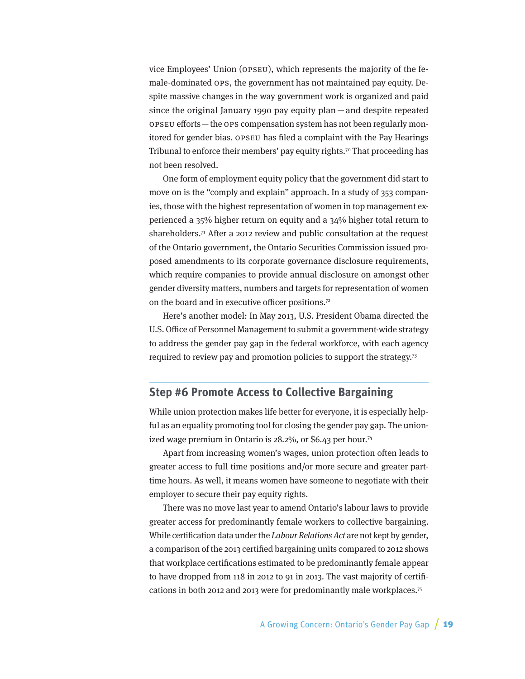vice Employees' Union (OPSEU), which represents the majority of the female-dominated OPS, the government has not maintained pay equity. Despite massive changes in the way government work is organized and paid since the original January 1990 pay equity plan —and despite repeated OPSEU efforts—the OPS compensation system has not been regularly monitored for gender bias. OPSEU has filed a complaint with the Pay Hearings Tribunal to enforce their members' pay equity rights.<sup>70</sup> That proceeding has not been resolved.

One form of employment equity policy that the government did start to move on is the "comply and explain" approach. In a study of 353 companies, those with the highest representation of women in top management experienced a 35% higher return on equity and a 34% higher total return to shareholders.<sup>71</sup> After a 2012 review and public consultation at the request of the Ontario government, the Ontario Securities Commission issued proposed amendments to its corporate governance disclosure requirements, which require companies to provide annual disclosure on amongst other gender diversity matters, numbers and targets for representation of women on the board and in executive officer positions.72

Here's another model: In May 2013, U.S. President Obama directed the U.S. Office of Personnel Management to submit a government-wide strategy to address the gender pay gap in the federal workforce, with each agency required to review pay and promotion policies to support the strategy.73

#### **Step #6 Promote Access to Collective Bargaining**

While union protection makes life better for everyone, it is especially helpful as an equality promoting tool for closing the gender pay gap. The unionized wage premium in Ontario is  $28.2\%$ , or \$6.43 per hour.<sup>74</sup>

Apart from increasing women's wages, union protection often leads to greater access to full time positions and/or more secure and greater parttime hours. As well, it means women have someone to negotiate with their employer to secure their pay equity rights.

There was no move last year to amend Ontario's labour laws to provide greater access for predominantly female workers to collective bargaining. While certification data under the *Labour Relations Act* are not kept by gender, a comparison of the 2013 certified bargaining units compared to 2012 shows that workplace certifications estimated to be predominantly female appear to have dropped from 118 in 2012 to 91 in 2013. The vast majority of certifications in both 2012 and 2013 were for predominantly male workplaces.75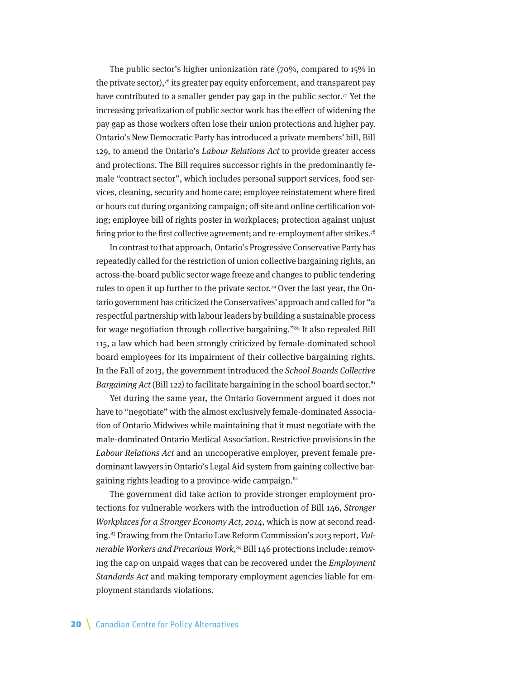The public sector's higher unionization rate (70%, compared to 15% in the private sector), $\tau$ <sup>6</sup> its greater pay equity enforcement, and transparent pay have contributed to a smaller gender pay gap in the public sector.<sup>77</sup> Yet the increasing privatization of public sector work has the effect of widening the pay gap as those workers often lose their union protections and higher pay. Ontario's New Democratic Party has introduced a private members' bill, Bill 129, to amend the Ontario's Labour Relations Act to provide greater access and protections. The Bill requires successor rights in the predominantly female "contract sector", which includes personal support services, food services, cleaning, security and home care; employee reinstatement where fired or hours cut during organizing campaign; off site and online certification voting; employee bill of rights poster in workplaces; protection against unjust firing prior to the first collective agreement; and re-employment after strikes.<sup>78</sup>

In contrast to that approach, Ontario's Progressive Conservative Party has repeatedly called for the restriction of union collective bargaining rights, an across-the-board public sector wage freeze and changes to public tendering rules to open it up further to the private sector.79 Over the last year, the Ontario government has criticized the Conservatives' approach and called for "a respectful partnership with labour leaders by building a sustainable process for wage negotiation through collective bargaining."<sup>80</sup> It also repealed Bill 115, a law which had been strongly criticized by female-dominated school board employees for its impairment of their collective bargaining rights. In the Fall of 2013, the government introduced the School Boards Collective *Bargaining Act* (Bill 122) to facilitate bargaining in the school board sector.<sup>81</sup>

Yet during the same year, the Ontario Government argued it does not have to "negotiate" with the almost exclusively female-dominated Association of Ontario Midwives while maintaining that it must negotiate with the male-dominated Ontario Medical Association. Restrictive provisions in the Labour Relations Act and an uncooperative employer, prevent female predominant lawyers in Ontario's Legal Aid system from gaining collective bargaining rights leading to a province-wide campaign.<sup>82</sup>

The government did take action to provide stronger employment protections for vulnerable workers with the introduction of Bill 146, Stronger Workplaces for a Stronger Economy Act, 2014, which is now at second reading.83 Drawing from the Ontario Law Reform Commission's 2013 report, Vulnerable Workers and Precarious Work, 84 Bill 146 protections include: removing the cap on unpaid wages that can be recovered under the Employment Standards Act and making temporary employment agencies liable for employment standards violations.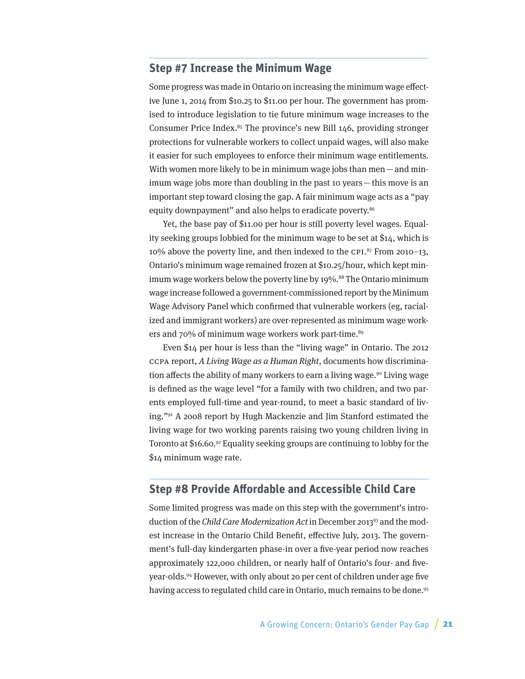#### **Step #7 Increase the Minimum Wage**

Some progress was made in Ontario on increasing the minimum wage effective June 1, 2014 from \$10.25 to \$11.00 per hour. The government has promised to introduce legislation to tie future minimum wage increases to the Consumer Price Index.<sup>85</sup> The province's new Bill 146, providing stronger protections for vulnerable workers to collect unpaid wages, will also make it easier for such employees to enforce their minimum wage entitlements. With women more likely to be in minimum wage jobs than men  $-$  and minimum wage jobs more than doubling in the past 10 years—this move is an important step toward closing the gap. A fair minimum wage acts as a "pay equity downpayment" and also helps to eradicate poverty.<sup>86</sup>

Yet, the base pay of \$11.00 per hour is still poverty level wages. Equality seeking groups lobbied for the minimum wage to be set at \$14, which is 10% above the poverty line, and then indexed to the CPI. 87 From 2010–13, Ontario's minimum wage remained frozen at \$10.25/hour, which kept minimum wage workers below the poverty line by 19%.<sup>88</sup> The Ontario minimum wage increase followed a government-commissioned report by the Minimum Wage Advisory Panel which confirmed that vulnerable workers (eg, racialized and immigrant workers) are over-represented as minimum wage workers and 70% of minimum wage workers work part-time.<sup>89</sup>

Even \$14 per hour is less than the "living wage" in Ontario. The 2012 CCPA report, A Living Wage as a Human Right, documents how discrimination affects the ability of many workers to earn a living wage.<sup>90</sup> Living wage is defined as the wage level "for a family with two children, and two parents employed full-time and year-round, to meet a basic standard of living."91 A 2008 report by Hugh Mackenzie and Jim Stanford estimated the living wage for two working parents raising two young children living in Toronto at \$16.60.92 Equality seeking groups are continuing to lobby for the \$14 minimum wage rate.

#### **Step #8 Provide Affordable and Accessible Child Care**

Some limited progress was made on this step with the government's introduction of the Child Care Modernization Act in December 2013<sup>93</sup> and the modest increase in the Ontario Child Benefit, effective July, 2013. The government's full-day kindergarten phase-in over a five-year period now reaches approximately 122,000 children, or nearly half of Ontario's four- and fiveyear-olds.94 However, with only about 20 per cent of children under age five having access to regulated child care in Ontario, much remains to be done.<sup>95</sup>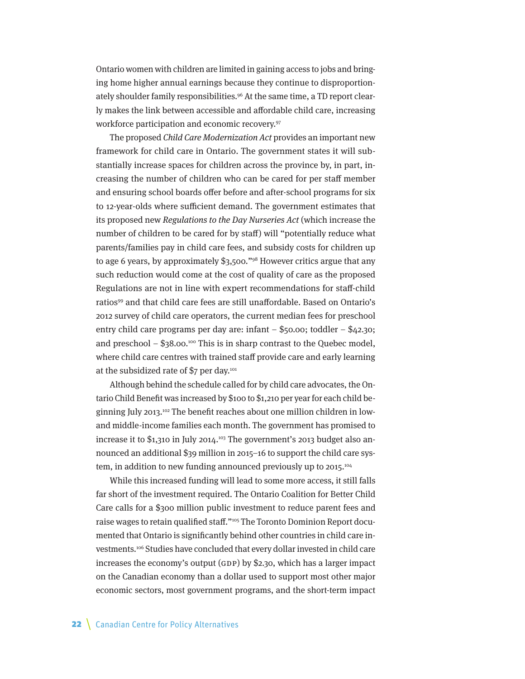Ontario women with children are limited in gaining access to jobs and bringing home higher annual earnings because they continue to disproportionately shoulder family responsibilities.<sup>96</sup> At the same time, a TD report clearly makes the link between accessible and affordable child care, increasing workforce participation and economic recovery.97

The proposed Child Care Modernization Act provides an important new framework for child care in Ontario. The government states it will substantially increase spaces for children across the province by, in part, increasing the number of children who can be cared for per staff member and ensuring school boards offer before and after-school programs for six to 12-year-olds where sufficient demand. The government estimates that its proposed new Regulations to the Day Nurseries Act (which increase the number of children to be cared for by staff) will "potentially reduce what parents/families pay in child care fees, and subsidy costs for children up to age 6 years, by approximately \$3,500."98 However critics argue that any such reduction would come at the cost of quality of care as the proposed Regulations are not in line with expert recommendations for staff-child ratios<sup>99</sup> and that child care fees are still unaffordable. Based on Ontario's 2012 survey of child care operators, the current median fees for preschool entry child care programs per day are: infant  $-$  \$50.00; toddler  $-$  \$42.30; and preschool –  $$38.00$ <sup>100</sup> This is in sharp contrast to the Quebec model, where child care centres with trained staff provide care and early learning at the subsidized rate of  $$7$  per day.<sup>101</sup>

Although behind the schedule called for by child care advocates, the Ontario Child Benefit was increased by \$100 to \$1,210 per year for each child beginning July 2013.102 The benefit reaches about one million children in lowand middle-income families each month. The government has promised to increase it to \$1,310 in July 2014.103 The government's 2013 budget also announced an additional \$39 million in 2015–16 to support the child care system, in addition to new funding announced previously up to 2015.<sup>104</sup>

While this increased funding will lead to some more access, it still falls far short of the investment required. The Ontario Coalition for Better Child Care calls for a \$300 million public investment to reduce parent fees and raise wages to retain qualified staff."105 The Toronto Dominion Report documented that Ontario is significantly behind other countries in child care investments.106 Studies have concluded that every dollar invested in child care increases the economy's output (GDP) by \$2.30, which has a larger impact on the Canadian economy than a dollar used to support most other major economic sectors, most government programs, and the short-term impact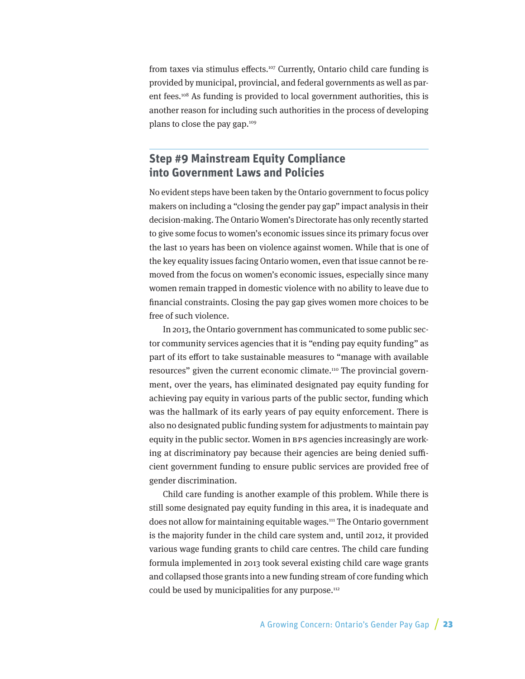from taxes via stimulus effects.<sup>107</sup> Currently, Ontario child care funding is provided by municipal, provincial, and federal governments as well as parent fees.108 As funding is provided to local government authorities, this is another reason for including such authorities in the process of developing plans to close the pay gap.109

### **Step #9 Mainstream Equity Compliance into Government Laws and Policies**

No evident steps have been taken by the Ontario government to focus policy makers on including a "closing the gender pay gap" impact analysis in their decision-making. The Ontario Women's Directorate has only recently started to give some focus to women's economic issues since its primary focus over the last 10 years has been on violence against women. While that is one of the key equality issues facing Ontario women, even that issue cannot be removed from the focus on women's economic issues, especially since many women remain trapped in domestic violence with no ability to leave due to financial constraints. Closing the pay gap gives women more choices to be free of such violence.

In 2013, the Ontario government has communicated to some public sector community services agencies that it is "ending pay equity funding" as part of its effort to take sustainable measures to "manage with available resources" given the current economic climate.110 The provincial government, over the years, has eliminated designated pay equity funding for achieving pay equity in various parts of the public sector, funding which was the hallmark of its early years of pay equity enforcement. There is also no designated public funding system for adjustments to maintain pay equity in the public sector. Women in BPS agencies increasingly are working at discriminatory pay because their agencies are being denied sufficient government funding to ensure public services are provided free of gender discrimination.

Child care funding is another example of this problem. While there is still some designated pay equity funding in this area, it is inadequate and does not allow for maintaining equitable wages.<sup>111</sup> The Ontario government is the majority funder in the child care system and, until 2012, it provided various wage funding grants to child care centres. The child care funding formula implemented in 2013 took several existing child care wage grants and collapsed those grants into a new funding stream of core funding which could be used by municipalities for any purpose.<sup>112</sup>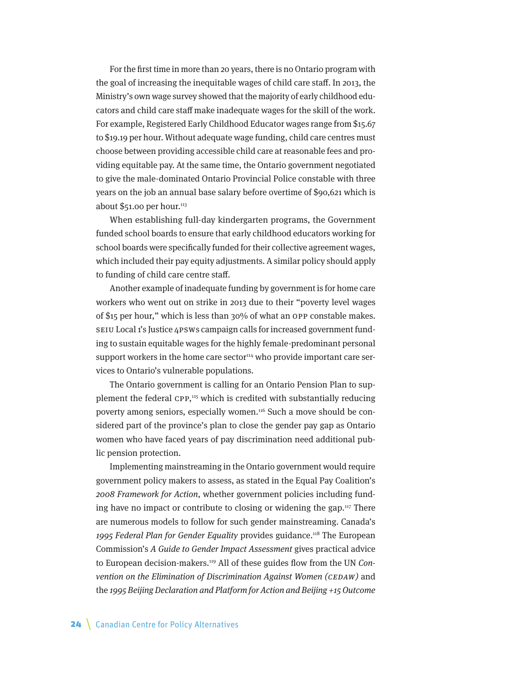For the first time in more than 20 years, there is no Ontario program with the goal of increasing the inequitable wages of child care staff. In 2013, the Ministry's own wage survey showed that the majority of early childhood educators and child care staff make inadequate wages for the skill of the work. For example, Registered Early Childhood Educator wages range from \$15.67 to \$19.19 per hour. Without adequate wage funding, child care centres must choose between providing accessible child care at reasonable fees and providing equitable pay. At the same time, the Ontario government negotiated to give the male-dominated Ontario Provincial Police constable with three years on the job an annual base salary before overtime of \$90,621 which is about  $$51.00$  per hour.<sup>113</sup>

When establishing full-day kindergarten programs, the Government funded school boards to ensure that early childhood educators working for school boards were specifically funded for their collective agreement wages, which included their pay equity adjustments. A similar policy should apply to funding of child care centre staff.

Another example of inadequate funding by government is for home care workers who went out on strike in 2013 due to their "poverty level wages of \$15 per hour," which is less than 30% of what an OPP constable makes. SEIU Local 1's Justice 4PSWs campaign calls for increased government funding to sustain equitable wages for the highly female-predominant personal support workers in the home care sector $114$  who provide important care services to Ontario's vulnerable populations.

The Ontario government is calling for an Ontario Pension Plan to supplement the federal CPP,<sup>115</sup> which is credited with substantially reducing poverty among seniors, especially women.116 Such a move should be considered part of the province's plan to close the gender pay gap as Ontario women who have faced years of pay discrimination need additional public pension protection.

Implementing mainstreaming in the Ontario government would require government policy makers to assess, as stated in the Equal Pay Coalition's 2008 Framework for Action, whether government policies including funding have no impact or contribute to closing or widening the gap.117 There are numerous models to follow for such gender mainstreaming. Canada's 1995 Federal Plan for Gender Equality provides guidance.<sup>118</sup> The European Commission's A Guide to Gender Impact Assessment gives practical advice to European decision-makers.119 All of these guides flow from the UN Convention on the Elimination of Discrimination Against Women (CEDAW) and the 1995 Beijing Declaration and Platform for Action and Beijing +15 Outcome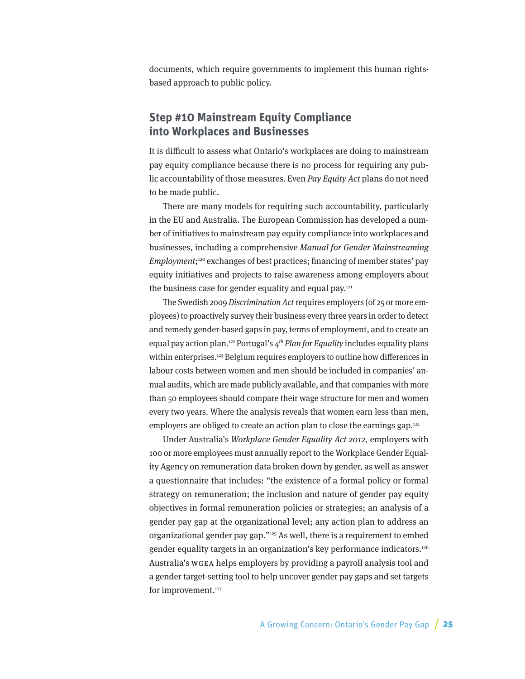documents, which require governments to implement this human rightsbased approach to public policy.

#### **Step #10 Mainstream Equity Compliance into Workplaces and Businesses**

It is difficult to assess what Ontario's workplaces are doing to mainstream pay equity compliance because there is no process for requiring any public accountability of those measures. Even Pay Equity Act plans do not need to be made public.

There are many models for requiring such accountability, particularly in the EU and Australia. The European Commission has developed a number of initiatives to mainstream pay equity compliance into workplaces and businesses, including a comprehensive Manual for Gender Mainstreaming Employment; 120 exchanges of best practices; financing of member states' pay equity initiatives and projects to raise awareness among employers about the business case for gender equality and equal pay.<sup>121</sup>

The Swedish 2009 Discrimination Act requires employers (of 25 or more employees) to proactively survey their business every three years in order to detect and remedy gender-based gaps in pay, terms of employment, and to create an equal pay action plan.<sup>122</sup> Portugal's  $4<sup>th</sup>$  Plan for Equality includes equality plans within enterprises.<sup>123</sup> Belgium requires employers to outline how differences in labour costs between women and men should be included in companies' annual audits, which are made publicly available, and that companies with more than 50 employees should compare their wage structure for men and women every two years. Where the analysis reveals that women earn less than men, employers are obliged to create an action plan to close the earnings gap.124

Under Australia's Workplace Gender Equality Act 2012, employers with 100 or more employees must annually report to the Workplace Gender Equality Agency on remuneration data broken down by gender, as well as answer a questionnaire that includes: "the existence of a formal policy or formal strategy on remuneration; the inclusion and nature of gender pay equity objectives in formal remuneration policies or strategies; an analysis of a gender pay gap at the organizational level; any action plan to address an organizational gender pay gap."125 As well, there is a requirement to embed gender equality targets in an organization's key performance indicators.126 Australia's WGEA helps employers by providing a payroll analysis tool and a gender target-setting tool to help uncover gender pay gaps and set targets for improvement.<sup>127</sup>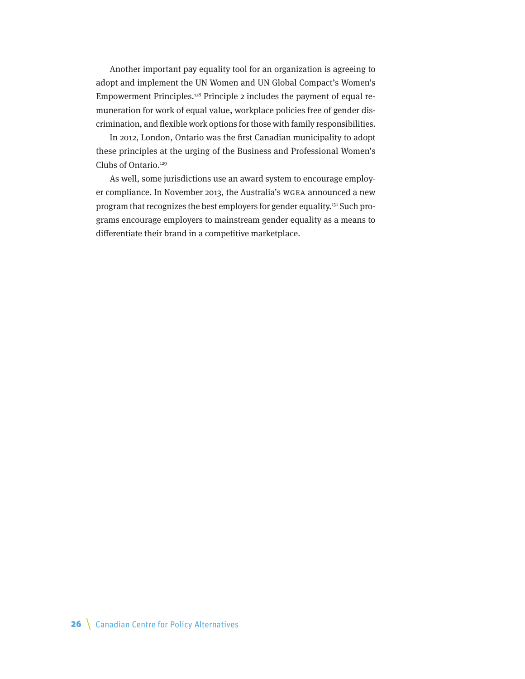Another important pay equality tool for an organization is agreeing to adopt and implement the UN Women and UN Global Compact's Women's Empowerment Principles.128 Principle 2 includes the payment of equal remuneration for work of equal value, workplace policies free of gender discrimination, and flexible work options for those with family responsibilities.

In 2012, London, Ontario was the first Canadian municipality to adopt these principles at the urging of the Business and Professional Women's Clubs of Ontario.129

As well, some jurisdictions use an award system to encourage employer compliance. In November 2013, the Australia's WGEA announced a new program that recognizes the best employers for gender equality.<sup>131</sup> Such programs encourage employers to mainstream gender equality as a means to differentiate their brand in a competitive marketplace.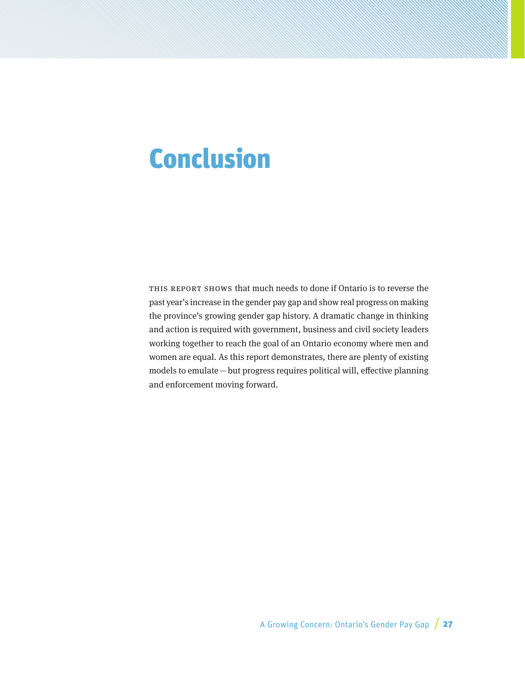## Conclusion

This report shows that much needs to done if Ontario is to reverse the past year's increase in the gender pay gap and show real progress on making the province's growing gender gap history. A dramatic change in thinking and action is required with government, business and civil society leaders working together to reach the goal of an Ontario economy where men and women are equal. As this report demonstrates, there are plenty of existing models to emulate—but progress requires political will, effective planning and enforcement moving forward.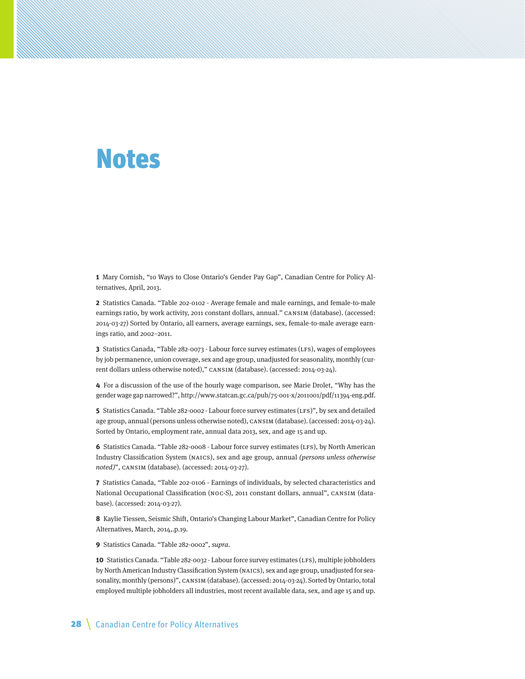## Notes

**1** Mary Cornish, "10 Ways to Close Ontario's Gender Pay Gap", Canadian Centre for Policy Alternatives, April, 2013.

**2** Statistics Canada. "Table 202-0102 - Average female and male earnings, and female-to-male earnings ratio, by work activity, 2011 constant dollars, annual." CANSIM (database). (accessed: 2014-03-27) Sorted by Ontario, all earners, average earnings, sex, female-to-male average earnings ratio, and 2002–2011.

**3** Statistics Canada, "Table 282-0073 - Labour force survey estimates (LFS), wages of employees by job permanence, union coverage, sex and age group, unadjusted for seasonality, monthly (current dollars unless otherwise noted)," CANSIM (database). (accessed: 2014-03-24).

**4** For a discussion of the use of the hourly wage comparison, see Marie Drolet, "Why has the gender wage gap narrowed?", http://www.statcan.gc.ca/pub/75-001-x/2011001/pdf/11394-eng.pdf.

**5** Statistics Canada. "Table 282-0002 - Labour force survey estimates (LFS)", by sex and detailed age group, annual (persons unless otherwise noted), CANSIM (database). (accessed: 2014-03-24). Sorted by Ontario, employment rate, annual data 2013, sex, and age 15 and up.

**6** Statistics Canada. "Table 282-0008 - Labour force survey estimates (LFS), by North American Industry Classification System (NAICS), sex and age group, annual (persons unless otherwise noted)", CANSIM (database). (accessed: 2014-03-27).

**7** Statistics Canada, "Table 202-0106 - Earnings of individuals, by selected characteristics and National Occupational Classification (NOC-S), 2011 constant dollars, annual", CANSIM (database). (accessed: 2014-03-27).

**8** Kaylie Tiessen, Seismic Shift, Ontario's Changing Labour Market", Canadian Centre for Policy Alternatives, March, 2014,.p.19.

**9** Statistics Canada. "Table 282-0002", supra.

**10** Statistics Canada. "Table 282-0032 - Labour force survey estimates (LFS), multiple jobholders by North American Industry Classification System (NAICS), sex and age group, unadjusted for seasonality, monthly (persons)", CANSIM (database). (accessed: 2014-03-24). Sorted by Ontario, total employed multiple jobholders all industries, most recent available data, sex, and age 15 and up.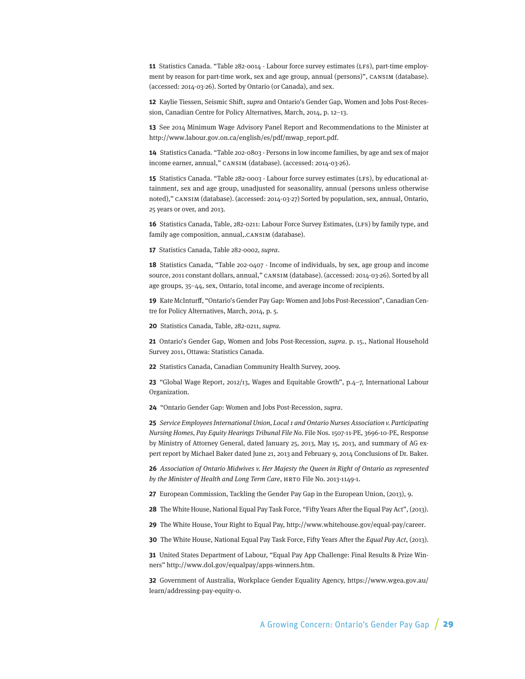**11** Statistics Canada. "Table 282-0014 - Labour force survey estimates (LFS), part-time employment by reason for part-time work, sex and age group, annual (persons)", CANSIM (database). (accessed: 2014-03-26). Sorted by Ontario (or Canada), and sex.

**12** Kaylie Tiessen, Seismic Shift, supra and Ontario's Gender Gap, Women and Jobs Post-Recession, Canadian Centre for Policy Alternatives, March, 2014, p. 12–13.

**13** See 2014 Minimum Wage Advisory Panel Report and Recommendations to the Minister at http://www.labour.gov.on.ca/english/es/pdf/mwap\_report.pdf.

**14** Statistics Canada. "Table 202-0803 - Persons in low income families, by age and sex of major income earner, annual," CANSIM (database). (accessed: 2014-03-26).

**15** Statistics Canada. "Table 282-0003 - Labour force survey estimates (LFS), by educational attainment, sex and age group, unadjusted for seasonality, annual (persons unless otherwise noted)," CANSIM (database). (accessed: 2014-03-27) Sorted by population, sex, annual, Ontario, 25 years or over, and 2013.

**16** Statistics Canada, Table, 282-0211: Labour Force Survey Estimates, (LFS) by family type, and family age composition, annual,.CANSIM (database).

**17** Statistics Canada, Table 282-0002, supra.

**18** Statistics Canada, "Table 202-0407 - Income of individuals, by sex, age group and income source, 2011 constant dollars, annual," CANSIM (database). (accessed: 2014-03-26). Sorted by all age groups, 35–44, sex, Ontario, total income, and average income of recipients.

**19** Kate McInturff, "Ontario's Gender Pay Gap: Women and Jobs Post-Recession", Canadian Centre for Policy Alternatives, March, 2014, p. 5.

**20** Statistics Canada, Table, 282-0211, supra.

**21** Ontario's Gender Gap, Women and Jobs Post-Recession, supra. p. 15., National Household Survey 2011, Ottawa: Statistics Canada.

**22** Statistics Canada, Canadian Community Health Survey, 2009.

**23** "Global Wage Report, 2012/13, Wages and Equitable Growth", p.4–7, International Labour Organization.

**24** "Ontario Gender Gap: Women and Jobs Post-Recession, supra.

**25** Service Employees International Union, Local 1 and Ontario Nurses Association v. Participating Nursing Homes, Pay Equity Hearings Tribunal File No. File Nos. 1507-11-PE, 3696-10-PE, Response by Ministry of Attorney General, dated January 25, 2013, May 15, 2013, and summary of AG expert report by Michael Baker dated June 21, 2013 and February 9, 2014 Conclusions of Dr. Baker.

**26** Association of Ontario Midwives v. Her Majesty the Queen in Right of Ontario as represented by the Minister of Health and Long Term Care, HRTO File No. 2013-1149-1.

**27** European Commission, Tackling the Gender Pay Gap in the European Union, (2013), 9.

**28** The White House, National Equal Pay Task Force, "Fifty Years After the Equal Pay Act", (2013).

**29** The White House, Your Right to Equal Pay, http://www.whitehouse.gov/equal-pay/career.

**30** The White House, National Equal Pay Task Force, Fifty Years After the Equal Pay Act, (2013).

**31** United States Department of Labour, "Equal Pay App Challenge: Final Results & Prize Winners" http://www.dol.gov/equalpay/apps-winners.htm.

**32** Government of Australia, Workplace Gender Equality Agency, https://www.wgea.gov.au/ learn/addressing-pay-equity-0.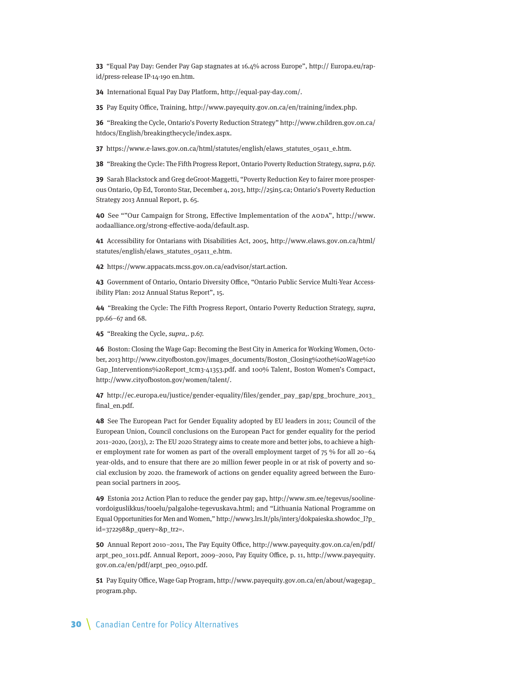**33** "Equal Pay Day: Gender Pay Gap stagnates at 16.4% across Europe", http:// Europa.eu/rapid/press-release IP-14-190 en.htm.

**34** International Equal Pay Day Platform, http://equal-pay-day.com/.

**35** Pay Equity Office, Training, http://www.payequity.gov.on.ca/en/training/index.php.

**36** "Breaking the Cycle, Ontario's Poverty Reduction Strategy" http://www.children.gov.on.ca/ htdocs/English/breakingthecycle/index.aspx.

**37** https://www.e-laws.gov.on.ca/html/statutes/english/elaws\_statutes\_05a11\_e.htm.

**38** "Breaking the Cycle: The Fifth Progress Report, Ontario Poverty Reduction Strategy, supra, p.67.

**39** Sarah Blackstock and Greg deGroot-Maggetti, "Poverty Reduction Key to fairer more prosperous Ontario, Op Ed, Toronto Star, December 4, 2013, http://25in5.ca; Ontario's Poverty Reduction Strategy 2013 Annual Report, p. 65.

**40** See ""Our Campaign for Strong, Effective Implementation of the AODA", http://www. aodaalliance.org/strong-effective-aoda/default.asp.

**41** Accessibility for Ontarians with Disabilities Act, 2005, http://www.elaws.gov.on.ca/html/ statutes/english/elaws\_statutes\_05a11\_e.htm.

**42** https://www.appacats.mcss.gov.on.ca/eadvisor/start.action.

**43** Government of Ontario, Ontario Diversity Office, "Ontario Public Service Multi-Year Accessibility Plan: 2012 Annual Status Report", 15.

**44** "Breaking the Cycle: The Fifth Progress Report, Ontario Poverty Reduction Strategy, supra, pp.66–67 and 68.

**45** "Breaking the Cycle, supra,. p.67.

**46** Boston: Closing the Wage Gap: Becoming the Best City in America for Working Women, October, 2013 http://www.cityofboston.gov/images\_documents/Boston\_Closing%20the%20Wage%20 Gap\_Interventions%20Report\_tcm3-41353.pdf. and 100% Talent, Boston Women's Compact, http://www.cityofboston.gov/women/talent/.

**47** http://ec.europa.eu/justice/gender-equality/files/gender\_pay\_gap/gpg\_brochure\_2013\_ final\_en.pdf.

**48** See The European Pact for Gender Equality adopted by EU leaders in 2011; Council of the European Union, Council conclusions on the European Pact for gender equality for the period 2011–2020, (2013), 2: The EU 2020 Strategy aims to create more and better jobs, to achieve a higher employment rate for women as part of the overall employment target of 75 % for all 20–64 year-olds, and to ensure that there are 20 million fewer people in or at risk of poverty and social exclusion by 2020. the framework of actions on gender equality agreed between the European social partners in 2005.

**49** Estonia 2012 Action Plan to reduce the gender pay gap, http://www.sm.ee/tegevus/soolinevordoiguslikkus/tooelu/palgalohe-tegevuskava.html; and "Lithuania National Programme on Equal Opportunities for Men and Women," http://www3.lrs.lt/pls/inter3/dokpaieska.showdoc\_l?p\_ id=372298&p\_query=&p\_tr2=.

**50** Annual Report 2010–2011, The Pay Equity Office, http://www.payequity.gov.on.ca/en/pdf/ arpt\_peo\_1011.pdf. Annual Report, 2009–2010, Pay Equity Office, p. 11, http://www.payequity. gov.on.ca/en/pdf/arpt\_peo\_0910.pdf.

**51** Pay Equity Office, Wage Gap Program, http://www.payequity.gov.on.ca/en/about/wagegap\_ program.php.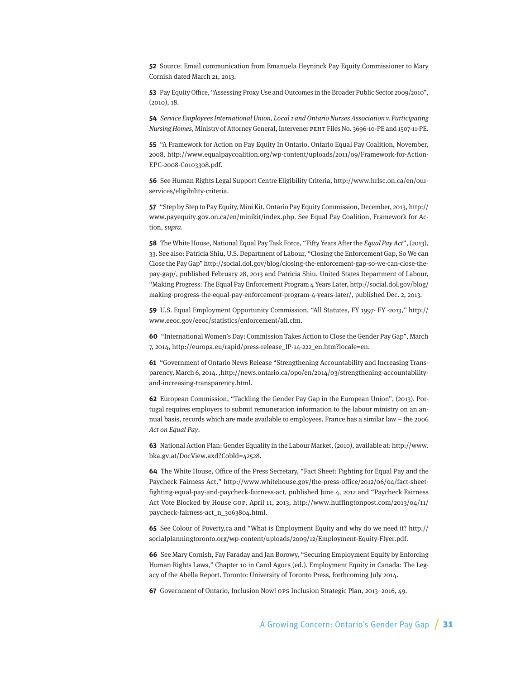**52** Source: Email communication from Emanuela Heyninck Pay Equity Commissioner to Mary Cornish dated March 21, 2013.

**53** Pay Equity Office, "Assessing Proxy Use and Outcomes in the Broader Public Sector 2009/2010", (2010), 18.

**54** Service Employees International Union, Local 1 and Ontario Nurses Association v. Participating Nursing Homes, Ministry of Attorney General, Intervener PEHT Files No. 3696-10-PE and 1507-11-PE.

**55** "A Framework for Action on Pay Equity In Ontario, Ontario Equal Pay Coalition, November, 2008, http://www.equalpaycoalition.org/wp-content/uploads/2011/09/Framework-for-Action-EPC-2008-C0103308.pdf.

**56** See Human Rights Legal Support Centre Eligibility Criteria, http://www.hrlsc.on.ca/en/ourservices/eligibility-criteria.

**57** "Step by Step to Pay Equity, Mini Kit, Ontario Pay Equity Commission, December, 2013, http:// www.payequity.gov.on.ca/en/minikit/index.php. See Equal Pay Coalition, Framework for Action, supra.

**58** The White House, National Equal Pay Task Force, "Fifty Years After the Equal Pay Act", (2013), 33. See also: Patricia Shiu, U.S. Department of Labour, "Closing the Enforcement Gap, So We can Close the Pay Gap" http://social.dol.gov/blog/closing-the-enforcement-gap-so-we-can-close-thepay-gap/, published February 28, 2013 and Patricia Shiu, United States Department of Labour, "Making Progress: The Equal Pay Enforcement Program 4 Years Later, http://social.dol.gov/blog/ making-progress-the-equal-pay-enforcement-program-4-years-later/, published Dec. 2, 2013.

**59** U.S. Equal Employment Opportunity Commission, "All Statutes, FY 1997- FY -2013," http:// www.eeoc.gov/eeoc/statistics/enforcement/all.cfm.

**60** "International Women's Day: Commission Takes Action to Close the Gender Pay Gap", March 7, 2014, http://europa.eu/rapid/press-release\_IP-14-222\_en.htm?locale=en.

**61** "Government of Ontario News Release "Strengthening Accountability and Increasing Transparency, March 6, 2014. ,http://news.ontario.ca/opo/en/2014/03/strengthening-accountabilityand-increasing-transparency.html.

**62** European Commission, "Tackling the Gender Pay Gap in the European Union", (2013). Portugal requires employers to submit remuneration information to the labour ministry on an annual basis, records which are made available to employees. France has a similar law – the 2006 Act on Equal Pay.

**63** National Action Plan: Gender Equality in the Labour Market, (2010), available at: http://www. bka.gv.at/DocView.axd?CobId=42528.

**64** The White House, Office of the Press Secretary, "Fact Sheet: Fighting for Equal Pay and the Paycheck Fairness Act," http://www.whitehouse.gov/the-press-office/2012/06/04/fact-sheetfighting-equal-pay-and-paycheck-fairness-act, published June 4, 2012 and "Paycheck Fairness Act Vote Blocked by House GOP, April 11, 2013, http://www.huffingtonpost.com/2013/04/11/ paycheck-fairness-act\_n\_3063804.html.

**65** See Colour of Poverty,ca and "What is Employment Equity and why do we need it? http:// socialplanningtoronto.org/wp-content/uploads/2009/12/Employment-Equity-Flyer.pdf.

**66** See Mary Cornish, Fay Faraday and Jan Borowy, "Securing Employment Equity by Enforcing Human Rights Laws," Chapter 10 in Carol Agocs (ed.). Employment Equity in Canada: The Legacy of the Abella Report. Toronto: University of Toronto Press, forthcoming July 2014.

**67** Government of Ontario, Inclusion Now! OPS Inclusion Strategic Plan, 2013–2016, 49.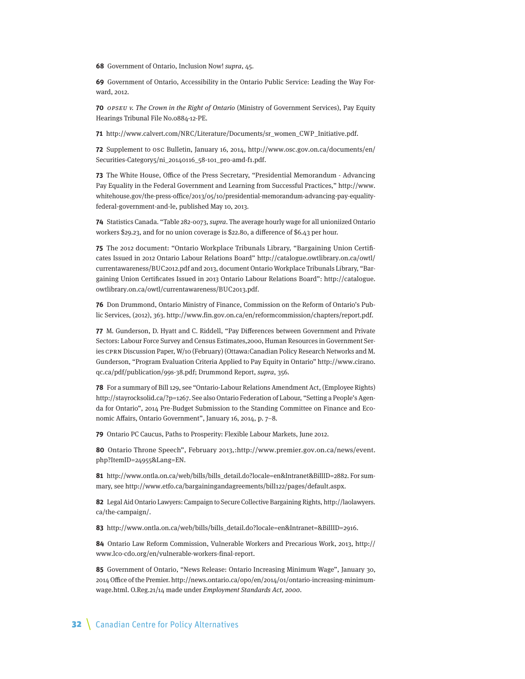**68** Government of Ontario, Inclusion Now! supra, 45.

**69** Government of Ontario, Accessibility in the Ontario Public Service: Leading the Way Forward, 2012.

**70** OPSEU v. The Crown in the Right of Ontario (Ministry of Government Services), Pay Equity Hearings Tribunal File No.0884-12-PE.

**71** http://www.calvert.com/NRC/Literature/Documents/sr\_women\_CWP\_Initiative.pdf.

**72** Supplement to OSC Bulletin, January 16, 2014, http://www.osc.gov.on.ca/documents/en/ Securities-Category5/ni\_20140116\_58-101\_pro-amd-f1.pdf.

**73** The White House, Office of the Press Secretary, "Presidential Memorandum - Advancing Pay Equality in the Federal Government and Learning from Successful Practices," http://www. whitehouse.gov/the-press-office/2013/05/10/presidential-memorandum-advancing-pay-equalityfederal-government-and-le, published May 10, 2013.

**74** Statistics Canada. "Table 282-0073, supra. The average hourly wage for all unioniized Ontario workers \$29.23, and for no union coverage is \$22.80, a difference of \$6.43 per hour.

**75** The 2012 document: "Ontario Workplace Tribunals Library, "Bargaining Union Certificates Issued in 2012 Ontario Labour Relations Board" http://catalogue.owtlibrary.on.ca/owtl/ currentawareness/BUC2012.pdf and 2013, document Ontario Workplace Tribunals Library, "Bargaining Union Certificates Issued in 2013 Ontario Labour Relations Board": http://catalogue. owtlibrary.on.ca/owtl/currentawareness/BUC2013.pdf.

**76** Don Drummond, Ontario Ministry of Finance, Commission on the Reform of Ontario's Public Services, (2012), 363. http://www.fin.gov.on.ca/en/reformcommission/chapters/report.pdf.

**77** M. Gunderson, D. Hyatt and C. Riddell, "Pay Differences between Government and Private Sectors: Labour Force Survey and Census Estimates,2000, Human Resources in Government Series CPRN Discussion Paper, W/10 (February) (Ottawa:Canadian Policy Research Networks and M. Gunderson, "Program Evaluation Criteria Applied to Pay Equity in Ontario" http://www.cirano. qc.ca/pdf/publication/99s-38.pdf; Drummond Report, supra, 356.

**78** For a summary of Bill 129, see "Ontario-Labour Relations Amendment Act, (Employee Rights) http://stayrocksolid.ca/?p=1267. See also Ontario Federation of Labour, "Setting a People's Agenda for Ontario", 2014 Pre-Budget Submission to the Standing Committee on Finance and Economic Affairs, Ontario Government", January 16, 2014, p. 7–8.

**79** Ontario PC Caucus, Paths to Prosperity: Flexible Labour Markets, June 2012.

**80** Ontario Throne Speech", February 2013,:http://www.premier.gov.on.ca/news/event. php?ItemID=24955&Lang=EN.

**81** http://www.ontla.on.ca/web/bills/bills\_detail.do?locale=en&Intranet&BillID=2882. For summary, see http://www.etfo.ca/bargainingandagreements/bill122/pages/default.aspx.

**82** Legal Aid Ontario Lawyers: Campaign to Secure Collective Bargaining Rights, http://laolawyers. ca/the-campaign/.

**83** http://www.ontla.on.ca/web/bills/bills\_detail.do?locale=en&Intranet=&BillID=2916.

**84** Ontario Law Reform Commission, Vulnerable Workers and Precarious Work, 2013, http:// www.lco-cdo.org/en/vulnerable-workers-final-report.

**85** Government of Ontario, "News Release: Ontario Increasing Minimum Wage", January 30, 2014 Office of the Premier. http://news.ontario.ca/opo/en/2014/01/ontario-increasing-minimumwage.html. O.Reg.21/14 made under Employment Standards Act, 2000.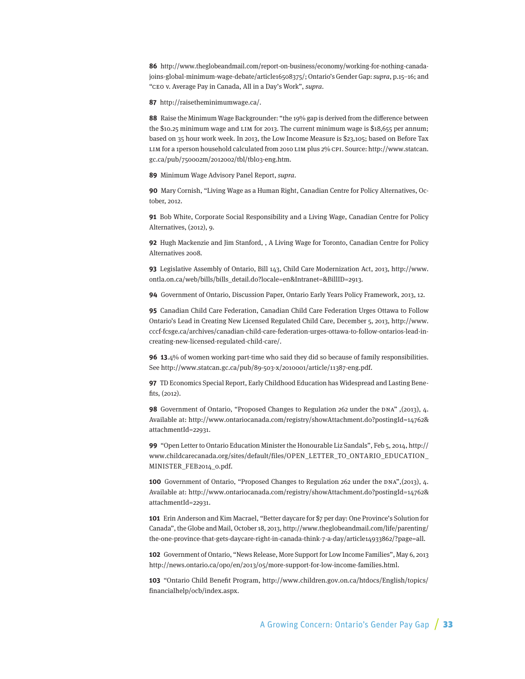**86** http://www.theglobeandmail.com/report-on-business/economy/working-for-nothing-canadajoins-global-minimum-wage-debate/article16508375/; Ontario's Gender Gap: supra, p.15–16; and "CEO v. Average Pay in Canada, All in a Day's Work", supra.

**87** http://raisetheminimumwage.ca/.

**88** Raise the Minimum Wage Backgrounder: "the 19% gap is derived from the difference between the \$10.25 minimum wage and LIM for 2013. The current minimum wage is \$18,655 per annum; based on 35 hour work week. In 2013, the Low Income Measure is \$23,105; based on Before Tax LIM for a 1person household calculated from 2010 LIM plus 2% CPI. Source: http://www.statcan. gc.ca/pub/750002m/2012002/tbl/tbl03-eng.htm.

**89** Minimum Wage Advisory Panel Report, supra.

**90** Mary Cornish, "Living Wage as a Human Right, Canadian Centre for Policy Alternatives, October, 2012.

**91** Bob White, Corporate Social Responsibility and a Living Wage, Canadian Centre for Policy Alternatives, (2012), 9.

**92** Hugh Mackenzie and Jim Stanford, , A Living Wage for Toronto, Canadian Centre for Policy Alternatives 2008.

**93** Legislative Assembly of Ontario, Bill 143, Child Care Modernization Act, 2013, http://www. ontla.on.ca/web/bills/bills\_detail.do?locale=en&Intranet=&BillID=2913.

**94** Government of Ontario, Discussion Paper, Ontario Early Years Policy Framework, 2013, 12.

**95** Canadian Child Care Federation, Canadian Child Care Federation Urges Ottawa to Follow Ontario's Lead in Creating New Licensed Regulated Child Care, December 5, 2013, http://www. cccf-fcsge.ca/archives/canadian-child-care-federation-urges-ottawa-to-follow-ontarios-lead-increating-new-licensed-regulated-child-care/.

**96 13**.4% of women working part-time who said they did so because of family responsibilities. See http://www.statcan.gc.ca/pub/89-503-x/2010001/article/11387-eng.pdf.

**97** TD Economics Special Report, Early Childhood Education has Widespread and Lasting Benefits, (2012).

**98** Government of Ontario, "Proposed Changes to Regulation 262 under the DNA" ,(2013), 4. Available at: http://www.ontariocanada.com/registry/showAttachment.do?postingId=14762& attachmentId=22931.

**99** "Open Letter to Ontario Education Minister the Honourable Liz Sandals", Feb 5, 2014, http:// www.childcarecanada.org/sites/default/files/OPEN\_LETTER\_TO\_ONTARIO\_EDUCATION\_ MINISTER\_FEB2014\_0.pdf.

**100** Government of Ontario, "Proposed Changes to Regulation 262 under the DNA",(2013), 4. Available at: http://www.ontariocanada.com/registry/showAttachment.do?postingId=14762& attachmentId=22931.

**101** Erin Anderson and Kim Macrael, "Better daycare for \$7 per day: One Province's Solution for Canada", the Globe and Mail, October 18, 2013, http://www.theglobeandmail.com/life/parenting/ the-one-province-that-gets-daycare-right-in-canada-think-7-a-day/article14933862/?page=all.

**102** Government of Ontario, "News Release, More Support for Low Income Families", May 6, 2013 http://news.ontario.ca/opo/en/2013/05/more-support-for-low-income-families.html.

**103** "Ontario Child Benefit Program, http://www.children.gov.on.ca/htdocs/English/topics/ financialhelp/ocb/index.aspx.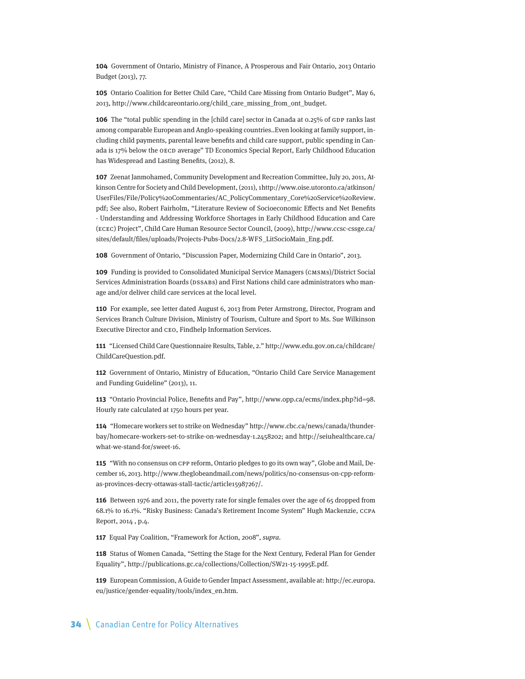**104** Government of Ontario, Ministry of Finance, A Prosperous and Fair Ontario, 2013 Ontario Budget (2013), 77.

**105** Ontario Coalition for Better Child Care, "Child Care Missing from Ontario Budget", May 6, 2013, http://www.childcareontario.org/child\_care\_missing\_from\_ont\_budget.

**106** The "total public spending in the [child care] sector in Canada at 0.25% of GDP ranks last among comparable European and Anglo-speaking countries..Even looking at family support, including child payments, parental leave benefits and child care support, public spending in Canada is 17% below the OECD average" TD Economics Special Report, Early Childhood Education has Widespread and Lasting Benefits, (2012), 8.

**107** Zeenat Janmohamed, Community Development and Recreation Committee, July 20, 2011, Atkinson Centre for Society and Child Development, (2011), 1http://www.oise.utoronto.ca/atkinson/ UserFiles/File/Policy%20Commentaries/AC\_PolicyCommentary\_Core%20Service%20Review. pdf; See also, Robert Fairholm, "Literature Review of Socioeconomic Effects and Net Benefits - Understanding and Addressing Workforce Shortages in Early Childhood Education and Care (ECEC) Project", Child Care Human Resource Sector Council, (2009), http://www.ccsc-cssge.ca/ sites/default/files/uploads/Projects-Pubs-Docs/2.8-WFS\_LitSocioMain\_Eng.pdf.

**108** Government of Ontario, "Discussion Paper, Modernizing Child Care in Ontario", 2013.

**109** Funding is provided to Consolidated Municipal Service Managers (CMSMs)/District Social Services Administration Boards (DSSABs) and First Nations child care administrators who manage and/or deliver child care services at the local level.

**110** For example, see letter dated August 6, 2013 from Peter Armstrong, Director, Program and Services Branch Culture Division, Ministry of Tourism, Culture and Sport to Ms. Sue Wilkinson Executive Director and CEO, Findhelp Information Services.

**111** "Licensed Child Care Questionnaire Results, Table, 2." http://www.edu.gov.on.ca/childcare/ ChildCareQuestion.pdf.

**112** Government of Ontario, Ministry of Education, "Ontario Child Care Service Management and Funding Guideline" (2013), 11.

**113** "Ontario Provincial Police, Benefits and Pay", http://www.opp.ca/ecms/index.php?id=98. Hourly rate calculated at 1750 hours per year.

**114** "Homecare workers set to strike on Wednesday" http://www.cbc.ca/news/canada/thunderbay/homecare-workers-set-to-strike-on-wednesday-1.2458202; and http://seiuhealthcare.ca/ what-we-stand-for/sweet-16.

**115** "With no consensus on CPP reform, Ontario pledges to go its own way", Globe and Mail, December 16, 2013. http://www.theglobeandmail.com/news/politics/no-consensus-on-cpp-reformas-provinces-decry-ottawas-stall-tactic/article15987267/.

**116** Between 1976 and 2011, the poverty rate for single females over the age of 65 dropped from 68.1% to 16.1%. "Risky Business: Canada's Retirement Income System" Hugh Mackenzie, CCPA Report, 2014 , p.4.

**117** Equal Pay Coalition, "Framework for Action, 2008", supra.

**118** Status of Women Canada, "Setting the Stage for the Next Century, Federal Plan for Gender Equality", http://publications.gc.ca/collections/Collection/SW21-15-1995E.pdf.

**119** European Commission, A Guide to Gender Impact Assessment, available at: http://ec.europa. eu/justice/gender-equality/tools/index\_en.htm.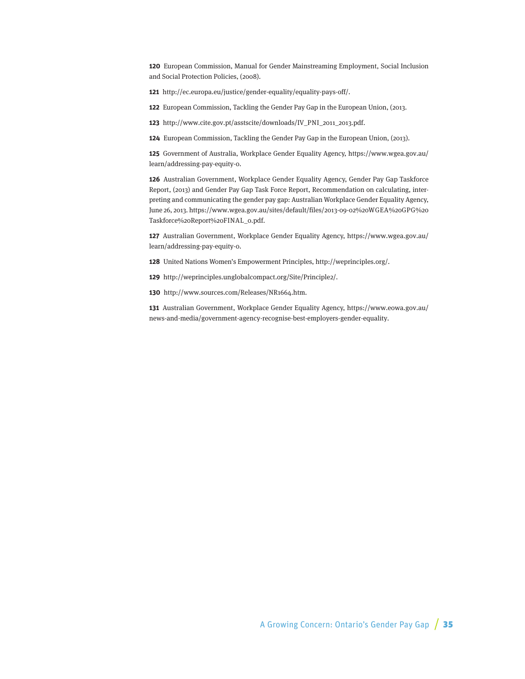**120** European Commission, Manual for Gender Mainstreaming Employment, Social Inclusion and Social Protection Policies, (2008).

**121** http://ec.europa.eu/justice/gender-equality/equality-pays-off/.

**122** European Commission, Tackling the Gender Pay Gap in the European Union, (2013.

**123** http://www.cite.gov.pt/asstscite/downloads/IV\_PNI\_2011\_2013.pdf.

**124** European Commission, Tackling the Gender Pay Gap in the European Union, (2013).

**125** Government of Australia, Workplace Gender Equality Agency, https://www.wgea.gov.au/ learn/addressing-pay-equity-0.

**126** Australian Government, Workplace Gender Equality Agency, Gender Pay Gap Taskforce Report, (2013) and Gender Pay Gap Task Force Report, Recommendation on calculating, interpreting and communicating the gender pay gap: Australian Workplace Gender Equality Agency, June 26, 2013. https://www.wgea.gov.au/sites/default/files/2013-09-02%20WGEA%20GPG%20 Taskforce%20Report%20FINAL\_0.pdf.

**127** Australian Government, Workplace Gender Equality Agency, https://www.wgea.gov.au/ learn/addressing-pay-equity-0.

**128** United Nations Women's Empowerment Principles, http://weprinciples.org/.

**129** http://weprinciples.unglobalcompact.org/Site/Principle2/.

**130** http://www.sources.com/Releases/NR1664.htm.

**131** Australian Government, Workplace Gender Equality Agency, https://www.eowa.gov.au/ news-and-media/government-agency-recognise-best-employers-gender-equality.